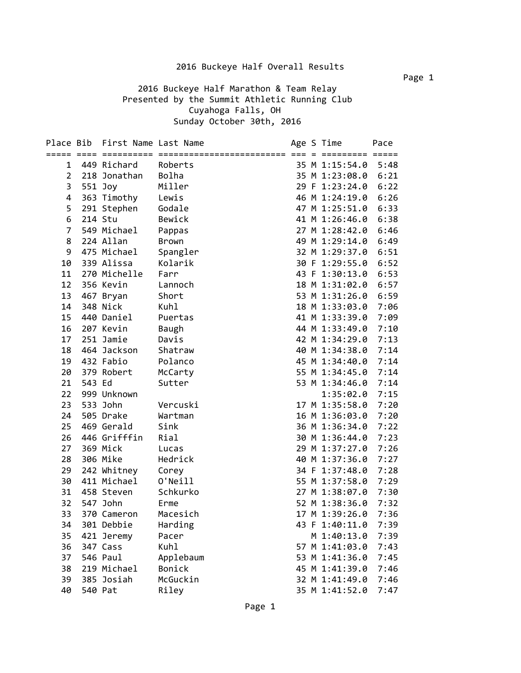2016 Buckeye Half Marathon & Team Relay Presented by the Summit Athletic Running Club Cuyahoga Falls, OH Sunday October 30th, 2016

|                |         | Place Bib First Name Last Name |              |  | Age S Time     | Pace |
|----------------|---------|--------------------------------|--------------|--|----------------|------|
|                |         |                                |              |  |                |      |
| 1              |         | 449 Richard                    | Roberts      |  | 35 M 1:15:54.0 | 5:48 |
| $\overline{2}$ |         | 218 Jonathan                   | Bolha        |  | 35 M 1:23:08.0 | 6:21 |
| 3              |         | 551 Joy                        | Miller       |  | 29 F 1:23:24.0 | 6:22 |
| $\overline{4}$ |         | 363 Timothy                    | Lewis        |  | 46 M 1:24:19.0 | 6:26 |
| 5              |         | 291 Stephen                    | Godale       |  | 47 M 1:25:51.0 | 6:33 |
| 6              |         | 214 Stu                        | Bewick       |  | 41 M 1:26:46.0 | 6:38 |
| $\overline{7}$ |         | 549 Michael                    | Pappas       |  | 27 M 1:28:42.0 | 6:46 |
| 8              |         | 224 Allan                      | Brown        |  | 49 M 1:29:14.0 | 6:49 |
| 9              |         | 475 Michael                    | Spangler     |  | 32 M 1:29:37.0 | 6:51 |
| 10             |         | 339 Alissa                     | Kolarik      |  | 30 F 1:29:55.0 | 6:52 |
| 11             |         | 270 Michelle                   | Farr         |  | 43 F 1:30:13.0 | 6:53 |
| 12             |         | 356 Kevin                      | Lannoch      |  | 18 M 1:31:02.0 | 6:57 |
| 13             |         | 467 Bryan                      | Short        |  | 53 M 1:31:26.0 | 6:59 |
| 14             |         | 348 Nick                       | Kuhl         |  | 18 M 1:33:03.0 | 7:06 |
| 15             |         | 440 Daniel                     | Puertas      |  | 41 M 1:33:39.0 | 7:09 |
| 16             |         | 207 Kevin                      | <b>Baugh</b> |  | 44 M 1:33:49.0 | 7:10 |
| 17             |         | 251 Jamie                      | Davis        |  | 42 M 1:34:29.0 | 7:13 |
| 18             |         | 464 Jackson                    | Shatraw      |  | 40 M 1:34:38.0 | 7:14 |
| 19             |         | 432 Fabio                      | Polanco      |  | 45 M 1:34:40.0 | 7:14 |
| 20             |         | 379 Robert                     | McCarty      |  | 55 M 1:34:45.0 | 7:14 |
| 21             | 543 Ed  |                                | Sutter       |  | 53 M 1:34:46.0 | 7:14 |
| 22             |         | 999 Unknown                    |              |  | 1:35:02.0      | 7:15 |
| 23             |         | 533 John                       | Vercuski     |  | 17 M 1:35:58.0 | 7:20 |
| 24             |         | 505 Drake                      | Wartman      |  | 16 M 1:36:03.0 | 7:20 |
| 25             |         | 469 Gerald                     | Sink         |  | 36 M 1:36:34.0 | 7:22 |
| 26             |         | 446 Grifffin                   | Rial         |  | 30 M 1:36:44.0 | 7:23 |
| 27             |         | 369 Mick                       | Lucas        |  | 29 M 1:37:27.0 | 7:26 |
| 28             |         | 306 Mike                       | Hedrick      |  | 40 M 1:37:36.0 | 7:27 |
| 29             |         | 242 Whitney                    | Corey        |  | 34 F 1:37:48.0 | 7:28 |
| 30             |         | 411 Michael                    | O'Neill      |  | 55 M 1:37:58.0 | 7:29 |
| 31             |         | 458 Steven                     | Schkurko     |  | 27 M 1:38:07.0 | 7:30 |
| 32             |         | 547 John                       | Erme         |  | 52 M 1:38:36.0 | 7:32 |
| 33             |         | 370 Cameron                    | Macesich     |  | 17 M 1:39:26.0 | 7:36 |
| 34             |         | 301 Debbie                     | Harding      |  | 43 F 1:40:11.0 | 7:39 |
| 35             |         | 421 Jeremy                     | Pacer        |  | M 1:40:13.0    | 7:39 |
| 36             |         | 347 Cass                       | Kuhl         |  | 57 M 1:41:03.0 | 7:43 |
| 37             |         | 546 Paul                       | Applebaum    |  | 53 M 1:41:36.0 | 7:45 |
| 38             |         | 219 Michael                    | Bonick       |  | 45 M 1:41:39.0 | 7:46 |
| 39             |         | 385 Josiah                     | McGuckin     |  | 32 M 1:41:49.0 | 7:46 |
| 40             | 540 Pat |                                | Riley        |  | 35 M 1:41:52.0 | 7:47 |

Page 1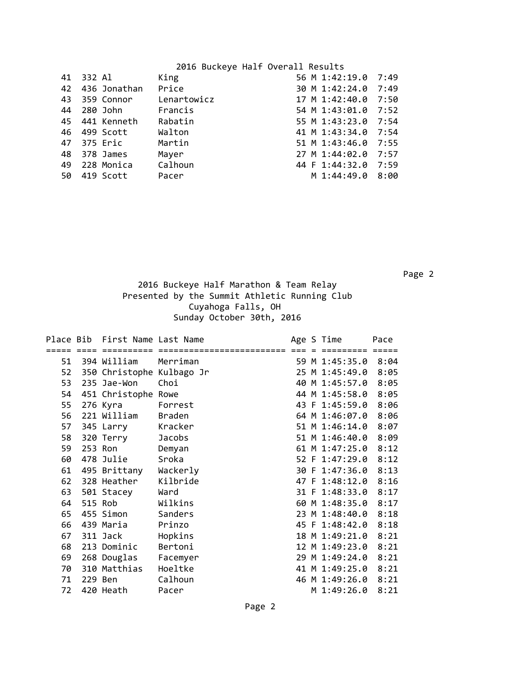| 41  | 332 Al         | King        | 56 M 1:42:19.0 | 7:49 |
|-----|----------------|-------------|----------------|------|
| 42  | 436 Jonathan   | Price       | 30 M 1:42:24.0 | 7:49 |
| 43  | 359 Connor     | Lenartowicz | 17 M 1:42:40.0 | 7:50 |
| 44  | 280 John       | Francis     | 54 M 1:43:01.0 | 7:52 |
|     | 45 441 Kenneth | Rabatin     | 55 M 1:43:23.0 | 7:54 |
| 46  | 499 Scott      | Walton      | 41 M 1:43:34.0 | 7:54 |
| 47  | 375 Eric       | Martin      | 51 M 1:43:46.0 | 7:55 |
| 48  | 378 James      | Mayer       | 27 M 1:44:02.0 | 7:57 |
| 49  | 228 Monica     | Calhoun     | 44 F 1:44:32.0 | 7:59 |
| 50. | 419 Scott      | Pacer       | M 1:44:49.0    | 8:00 |
|     |                |             |                |      |

 Page 2 2016 Buckeye Half Marathon & Team Relay Presented by the Summit Athletic Running Club Cuyahoga Falls, OH Sunday October 30th, 2016

|    |           | Place Bib First Name Last Name |               |  | Age S Time          | Pace |
|----|-----------|--------------------------------|---------------|--|---------------------|------|
|    |           |                                |               |  |                     |      |
| 51 |           | 394 William                    | Merriman      |  | 59 M 1:45:35.0 8:04 |      |
| 52 |           | 350 Christophe Kulbago Jr      |               |  | 25 M 1:45:49.0      | 8:05 |
| 53 |           | 235 Jae-Won                    | Choi          |  | 40 M 1:45:57.0      | 8:05 |
| 54 |           | 451 Christophe Rowe            |               |  | 44 M 1:45:58.0      | 8:05 |
| 55 |           | 276 Kyra                       | Forrest       |  | 43 F 1:45:59.0      | 8:06 |
| 56 |           | 221 William                    | <b>Braden</b> |  | 64 M 1:46:07.0      | 8:06 |
| 57 |           | 345 Larry                      | Kracker       |  | 51 M 1:46:14.0      | 8:07 |
| 58 | 320 Terry |                                | Jacobs        |  | 51 M 1:46:40.0      | 8:09 |
| 59 |           | 253 Ron                        | Demyan        |  | 61 M 1:47:25.0      | 8:12 |
| 60 |           | 478 Julie                      | Sroka         |  | 52 F 1:47:29.0      | 8:12 |
| 61 |           | 495 Brittany                   | Wackerly      |  | 30 F 1:47:36.0      | 8:13 |
| 62 |           | 328 Heather                    | Kilbride      |  | 47 F 1:48:12.0      | 8:16 |
| 63 |           | 501 Stacey                     | Ward          |  | 31 F 1:48:33.0      | 8:17 |
| 64 |           | 515 Rob                        | Wilkins       |  | 60 M 1:48:35.0      | 8:17 |
| 65 |           | 455 Simon                      | Sanders       |  | 23 M 1:48:40.0      | 8:18 |
| 66 |           | 439 Maria                      | Prinzo        |  | 45 F 1:48:42.0      | 8:18 |
| 67 |           | 311 Jack                       | Hopkins       |  | 18 M 1:49:21.0      | 8:21 |
| 68 |           | 213 Dominic                    | Bertoni       |  | 12 M 1:49:23.0      | 8:21 |
| 69 |           | 268 Douglas                    | Facemyer      |  | 29 M 1:49:24.0      | 8:21 |
| 70 |           | 310 Matthias                   | Hoeltke       |  | 41 M 1:49:25.0      | 8:21 |
| 71 |           | 229 Ben                        | Calhoun       |  | 46 M 1:49:26.0      | 8:21 |
| 72 |           | 420 Heath                      | Pacer         |  | M 1:49:26.0         | 8:21 |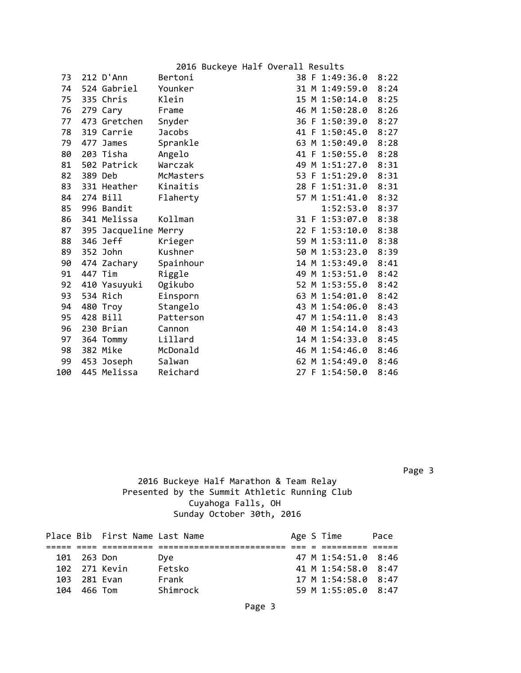|     |         |                      |               |  | 2016 Buckeye Half Overall Results |                |      |
|-----|---------|----------------------|---------------|--|-----------------------------------|----------------|------|
| 73  |         | $212$ D'Ann          | Bertoni       |  |                                   | 38 F 1:49:36.0 | 8:22 |
| 74  |         | 524 Gabriel          | Younker       |  |                                   | 31 M 1:49:59.0 | 8:24 |
| 75  |         | 335 Chris            | Klein         |  |                                   | 15 M 1:50:14.0 | 8:25 |
| 76  |         | 279 Cary             | Frame         |  |                                   | 46 M 1:50:28.0 | 8:26 |
| 77  |         | 473 Gretchen         | Snyder        |  |                                   | 36 F 1:50:39.0 | 8:27 |
| 78  |         | 319 Carrie           | <b>Jacobs</b> |  |                                   | 41 F 1:50:45.0 | 8:27 |
| 79  |         | 477 James            | Sprankle      |  |                                   | 63 M 1:50:49.0 | 8:28 |
| 80  |         | 203 Tisha            | Angelo        |  |                                   | 41 F 1:50:55.0 | 8:28 |
| 81  |         | 502 Patrick          | Warczak       |  |                                   | 49 M 1:51:27.0 | 8:31 |
| 82  | 389 Deb |                      | McMasters     |  |                                   | 53 F 1:51:29.0 | 8:31 |
| 83  |         | 331 Heather          | Kinaitis      |  |                                   | 28 F 1:51:31.0 | 8:31 |
| 84  |         | 274 Bill             | Flaherty      |  |                                   | 57 M 1:51:41.0 | 8:32 |
| 85  |         | 996 Bandit           |               |  |                                   | 1:52:53.0      | 8:37 |
| 86  |         | 341 Melissa          | Kollman       |  |                                   | 31 F 1:53:07.0 | 8:38 |
| 87  |         | 395 Jacqueline Merry |               |  |                                   | 22 F 1:53:10.0 | 8:38 |
| 88  |         | 346 Jeff             | Krieger       |  |                                   | 59 M 1:53:11.0 | 8:38 |
| 89  |         | 352 John             | Kushner       |  |                                   | 50 M 1:53:23.0 | 8:39 |
| 90  |         | 474 Zachary          | Spainhour     |  |                                   | 14 M 1:53:49.0 | 8:41 |
| 91  | 447 Tim |                      | Riggle        |  |                                   | 49 M 1:53:51.0 | 8:42 |
| 92  |         | 410 Yasuyuki         | Ogikubo       |  |                                   | 52 M 1:53:55.0 | 8:42 |
| 93  |         | 534 Rich             | Einsporn      |  |                                   | 63 M 1:54:01.0 | 8:42 |
| 94  |         | 480 Troy             | Stangelo      |  |                                   | 43 M 1:54:06.0 | 8:43 |
| 95  |         | 428 Bill             | Patterson     |  |                                   | 47 M 1:54:11.0 | 8:43 |
| 96  |         | 230 Brian            | Cannon        |  |                                   | 40 M 1:54:14.0 | 8:43 |
| 97  |         | 364 Tommy            | Lillard       |  |                                   | 14 M 1:54:33.0 | 8:45 |
| 98  |         | 382 Mike             | McDonald      |  |                                   | 46 M 1:54:46.0 | 8:46 |
| 99  |         | 453 Joseph           | Salwan        |  |                                   | 62 M 1:54:49.0 | 8:46 |
| 100 |         | 445 Melissa          | Reichard      |  |                                   | 27 F 1:54:50.0 | 8:46 |

Page 3

#### 2016 Buckeye Half Marathon & Team Relay Presented by the Summit Athletic Running Club Cuyahoga Falls, OH Sunday October 30th, 2016

|     |              | Place Bib First Name Last Name |          |  | Age S Time          | Pace |
|-----|--------------|--------------------------------|----------|--|---------------------|------|
|     |              |                                |          |  |                     |      |
|     | 101 263 Don  |                                | Dve      |  | 47 M 1:54:51.0 8:46 |      |
|     |              | 102 271 Kevin                  | Fetsko   |  | 41 M 1:54:58.0 8:47 |      |
|     | 103 281 Evan |                                | Frank    |  | 17 M 1:54:58.0 8:47 |      |
| 104 | 466 Tom      |                                | Shimrock |  | 59 M 1:55:05.0 8:47 |      |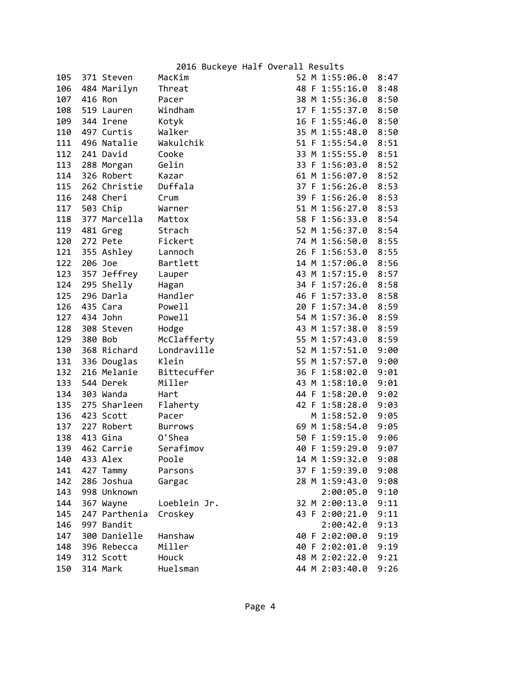| 105 |         | 371 Steven    | MacKim         |  | 52 M 1:55:06.0 | 8:47 |
|-----|---------|---------------|----------------|--|----------------|------|
| 106 |         | 484 Marilyn   | Threat         |  | 48 F 1:55:16.0 | 8:48 |
| 107 | 416 Ron |               | Pacer          |  | 38 M 1:55:36.0 | 8:50 |
| 108 |         | 519 Lauren    | Windham        |  | 17 F 1:55:37.0 | 8:50 |
| 109 |         | 344 Irene     | Kotyk          |  | 16 F 1:55:46.0 | 8:50 |
| 110 |         | 497 Curtis    | Walker         |  | 35 M 1:55:48.0 | 8:50 |
| 111 |         | 496 Natalie   | Wakulchik      |  | 51 F 1:55:54.0 | 8:51 |
|     |         | 112 241 David | Cooke          |  | 33 M 1:55:55.0 | 8:51 |
| 113 |         | 288 Morgan    | Gelin          |  | 33 F 1:56:03.0 | 8:52 |
| 114 |         | 326 Robert    | Kazar          |  | 61 M 1:56:07.0 | 8:52 |
| 115 |         | 262 Christie  | Duffala        |  | 37 F 1:56:26.0 | 8:53 |
| 116 |         | 248 Cheri     | Crum           |  | 39 F 1:56:26.0 | 8:53 |
| 117 |         | 503 Chip      | Warner         |  | 51 M 1:56:27.0 | 8:53 |
| 118 |         | 377 Marcella  | Mattox         |  | 58 F 1:56:33.0 | 8:54 |
| 119 |         | 481 Greg      | Strach         |  | 52 M 1:56:37.0 | 8:54 |
| 120 |         | 272 Pete      | Fickert        |  | 74 M 1:56:50.0 | 8:55 |
| 121 |         | 355 Ashley    | Lannoch        |  | 26 F 1:56:53.0 | 8:55 |
| 122 | 206 Joe |               | Bartlett       |  | 14 M 1:57:06.0 | 8:56 |
| 123 |         | 357 Jeffrey   | Lauper         |  | 43 M 1:57:15.0 | 8:57 |
| 124 |         | 295 Shelly    | Hagan          |  | 34 F 1:57:26.0 | 8:58 |
| 125 |         | 296 Darla     | Handler        |  | 46 F 1:57:33.0 | 8:58 |
| 126 |         | 435 Cara      | Powell         |  | 20 F 1:57:34.0 | 8:59 |
|     |         | 127 434 John  | Powell         |  | 54 M 1:57:36.0 | 8:59 |
| 128 |         | 308 Steven    | Hodge          |  | 43 M 1:57:38.0 | 8:59 |
| 129 | 380 Bob |               | McClafferty    |  | 55 M 1:57:43.0 | 8:59 |
| 130 |         | 368 Richard   | Londraville    |  | 52 M 1:57:51.0 | 9:00 |
| 131 |         | 336 Douglas   | Klein          |  | 55 M 1:57:57.0 | 9:00 |
| 132 |         | 216 Melanie   | Bittecuffer    |  | 36 F 1:58:02.0 | 9:01 |
| 133 |         | 544 Derek     | Miller         |  | 43 M 1:58:10.0 | 9:01 |
| 134 |         | 303 Wanda     | Hart           |  | 44 F 1:58:20.0 | 9:02 |
| 135 |         | 275 Sharleen  | Flaherty       |  | 42 F 1:58:28.0 | 9:03 |
| 136 |         | 423 Scott     | Pacer          |  | M 1:58:52.0    | 9:05 |
| 137 |         | 227 Robert    | <b>Burrows</b> |  | 69 M 1:58:54.0 | 9:05 |
| 138 |         | 413 Gina      | 0'Shea         |  | 50 F 1:59:15.0 | 9:06 |
| 139 |         | 462 Carrie    | Serafimov      |  | 40 F 1:59:29.0 | 9:07 |
| 140 |         | 433 Alex      | Poole          |  | 14 M 1:59:32.0 | 9:08 |
| 141 |         | 427 Tammy     | Parsons        |  | 37 F 1:59:39.0 | 9:08 |
| 142 |         | 286 Joshua    | Gargac         |  | 28 M 1:59:43.0 | 9:08 |
| 143 |         | 998 Unknown   |                |  | 2:00:05.0      | 9:10 |
| 144 |         | 367 Wayne     | Loeblein Jr.   |  | 32 M 2:00:13.0 | 9:11 |
| 145 |         | 247 Parthenia | Croskey        |  | 43 F 2:00:21.0 | 9:11 |
| 146 |         | 997 Bandit    |                |  | 2:00:42.0      | 9:13 |
| 147 |         | 300 Danielle  | Hanshaw        |  | 40 F 2:02:00.0 | 9:19 |
| 148 |         | 396 Rebecca   | Miller         |  | 40 F 2:02:01.0 | 9:19 |
| 149 |         | 312 Scott     | Houck          |  | 48 M 2:02:22.0 | 9:21 |
| 150 |         | 314 Mark      | Huelsman       |  | 44 M 2:03:40.0 | 9:26 |
|     |         |               |                |  |                |      |

| ر ر | T. | 1. JJ. 40. V | 0.36 |
|-----|----|--------------|------|
| 51  | F  | 1:55:54.0    | 8:51 |
| 33  | M  | 1:55:55.0    | 8:51 |
| 33  | F  | 1:56:03.0    | 8:52 |
| 61  | M  | 1:56:07.0    | 8:52 |
| 37  | F  | 1:56:26.0    | 8:53 |
| 39  | F  | 1:56:26.0    | 8:53 |
| 51  | Μ  | 1:56:27.0    | 8:53 |
| 58  | F  | 1:56:33.0    | 8:54 |
| 52  | Μ  | 1:56:37.0    | 8:54 |
| 74  | Μ  | 1:56:50.0    | 8:55 |
| 26  | F  | 1:56:53.0    | 8:55 |
| 14  | Μ  | 1:57:06.0    | 8:56 |
| 43  | Μ  | 1:57:15.0    | 8:57 |
| 34  | F  | 1:57:26.0    | 8:58 |
| 46  | F  | 1:57:33.0    | 8:58 |
| 20  | F  | 1:57:34.0    | 8:59 |
| 54  | М  | 1:57:36.0    | 8:59 |
| 43  | M  | 1:57:38.0    | 8:59 |
| 55  | M  | 1:57:43.0    | 8:59 |
| 52  | M  | 1:57:51.0    | 9:06 |
| 55  | M  | 1:57:57.0    | 9:00 |
| 36  | F  | 1:58:02.0    | 9:01 |
| 43  | Μ  | 1:58:10.0    | 9:01 |
| 44  | F  | 1:58:20.0    | 9:02 |
| 42  | F  | 1:58:28.0    | 9:03 |
|     | M  | 1:58:52.0    | 9:05 |
| 69  | M  | 1:58:54.0    | 9:05 |
| 50  | F  | 1:59:15.0    | 9:06 |
| 40  | F  | 1:59:29.0    | 9:07 |
| 14  | M  | 1:59:32.0    | 9:08 |
| 37  | F  | 1:59:39.0    | 9:08 |
| 28  | Μ  | 1:59:43.0    | 9:08 |
|     |    | 2:00:05.0    | 9:16 |
| 32  | Μ  | 2:00:13.0    | 9:11 |
| 43  | F  | 2:00:21.0    | 9:11 |
|     |    | 2:00:42.0    | 9:13 |
| 40  | F  | 2:02:00.0    | 9:19 |
| 40  | F  | 2:02:01.0    | 9:19 |
| 48  | Μ  | 2:02:22.0    | 9:21 |
| 44  | M  | 2:03:40.0    | 9:26 |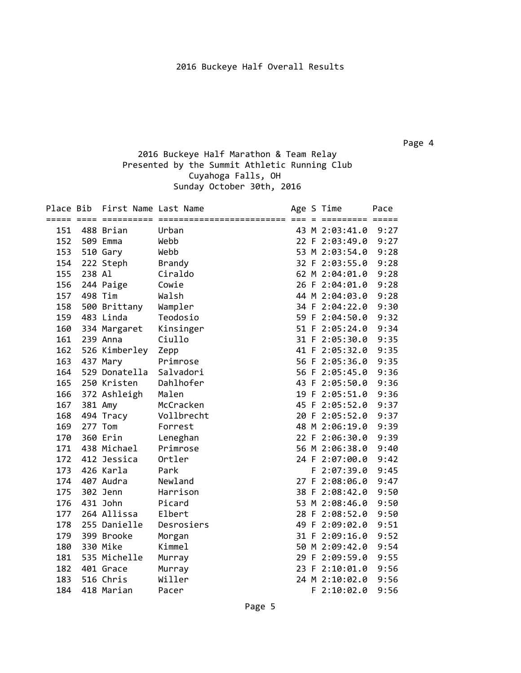Page 4

#### 2016 Buckeye Half Marathon & Team Relay Presented by the Summit Athletic Running Club Cuyahoga Falls, OH Sunday October 30th, 2016

| Place Bib |        | First Name Last Name |               |  | Age S Time     | Pace |
|-----------|--------|----------------------|---------------|--|----------------|------|
|           |        |                      |               |  |                |      |
| 151       |        | 488 Brian            | Urban         |  | 43 M 2:03:41.0 | 9:27 |
| 152       |        | 509 Emma             | Webb          |  | 22 F 2:03:49.0 | 9:27 |
| 153       |        | 510 Gary             | Webb          |  | 53 M 2:03:54.0 | 9:28 |
| 154       |        | 222 Steph            | <b>Brandy</b> |  | 32 F 2:03:55.0 | 9:28 |
| 155       | 238 Al |                      | Ciraldo       |  | 62 M 2:04:01.0 | 9:28 |
| 156       |        | 244 Paige            | Cowie         |  | 26 F 2:04:01.0 | 9:28 |
| 157       |        | 498 Tim              | Walsh         |  | 44 M 2:04:03.0 | 9:28 |
| 158       |        | 500 Brittany         | Wampler       |  | 34 F 2:04:22.0 | 9:30 |
| 159       |        | 483 Linda            | Teodosio      |  | 59 F 2:04:50.0 | 9:32 |
| 160       |        | 334 Margaret         | Kinsinger     |  | 51 F 2:05:24.0 | 9:34 |
| 161       |        | 239 Anna             | Ciullo        |  | 31 F 2:05:30.0 | 9:35 |
| 162       |        | 526 Kimberley        | Zepp          |  | 41 F 2:05:32.0 | 9:35 |
| 163       |        | 437 Mary             | Primrose      |  | 56 F 2:05:36.0 | 9:35 |
| 164       |        | 529 Donatella        | Salvadori     |  | 56 F 2:05:45.0 | 9:36 |
| 165       |        | 250 Kristen          | Dahlhofer     |  | 43 F 2:05:50.0 | 9:36 |
| 166       |        | 372 Ashleigh         | Malen         |  | 19 F 2:05:51.0 | 9:36 |
| 167       |        | 381 Amy              | McCracken     |  | 45 F 2:05:52.0 | 9:37 |
| 168       |        | 494 Tracy            | Vollbrecht    |  | 20 F 2:05:52.0 | 9:37 |
| 169       |        | 277 Tom              | Forrest       |  | 48 M 2:06:19.0 | 9:39 |
| 170       |        | 360 Erin             | Leneghan      |  | 22 F 2:06:30.0 | 9:39 |
| 171       |        | 438 Michael          | Primrose      |  | 56 M 2:06:38.0 | 9:40 |
| 172       |        | 412 Jessica          | Ortler        |  | 24 F 2:07:00.0 | 9:42 |
| 173       |        | 426 Karla            | Park          |  | $F$ 2:07:39.0  | 9:45 |
| 174       |        | 407 Audra            | Newland       |  | 27 F 2:08:06.0 | 9:47 |
| 175       |        | 302 Jenn             | Harrison      |  | 38 F 2:08:42.0 | 9:50 |
| 176       |        | 431 John             | Picard        |  | 53 M 2:08:46.0 | 9:50 |
| 177       |        | 264 Allissa          | Elbert        |  | 28 F 2:08:52.0 | 9:50 |
| 178       |        | 255 Danielle         | Desrosiers    |  | 49 F 2:09:02.0 | 9:51 |
| 179       |        | 399 Brooke           | Morgan        |  | 31 F 2:09:16.0 | 9:52 |
| 180       |        | 330 Mike             | Kimmel        |  | 50 M 2:09:42.0 | 9:54 |
| 181       |        | 535 Michelle         | Murray        |  | 29 F 2:09:59.0 | 9:55 |
| 182       |        | 401 Grace            | Murray        |  | 23 F 2:10:01.0 | 9:56 |
| 183       |        | 516 Chris            | Willer        |  | 24 M 2:10:02.0 | 9:56 |
| 184       |        | 418 Marian           | Pacer         |  | F 2:10:02.0    | 9:56 |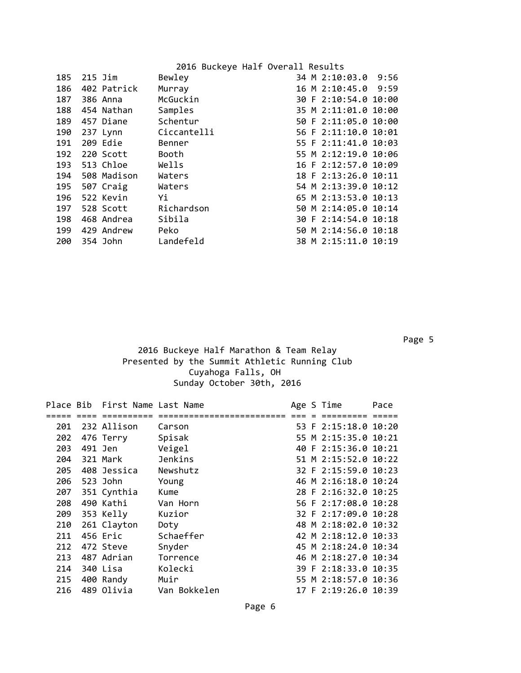| 185 | $215$ Jim   | Bewley      | 34 M 2:10:03.0<br>9:56 |
|-----|-------------|-------------|------------------------|
| 186 | 402 Patrick | Murray      | 16 M 2:10:45.0 9:59    |
| 187 | 386 Anna    | McGuckin    | 30 F 2:10:54.0 10:00   |
| 188 | 454 Nathan  | Samples     | 35 M 2:11:01.0 10:00   |
| 189 | 457 Diane   | Schentur    | 50 F 2:11:05.0 10:00   |
| 190 | 237 Lynn    | Ciccantelli | 56 F 2:11:10.0 10:01   |
| 191 | 209 Edie    | Benner      | 55 F 2:11:41.0 10:03   |
| 192 | 220 Scott   | Booth       | 55 M 2:12:19.0 10:06   |
| 193 | 513 Chloe   | Wells       | 16 F 2:12:57.0 10:09   |
| 194 | 508 Madison | Waters      | 18 F 2:13:26.0 10:11   |
| 195 | 507 Craig   | Waters      | 54 M 2:13:39.0 10:12   |
| 196 | 522 Kevin   | Yi          | 65 M 2:13:53.0 10:13   |
| 197 | 528 Scott   | Richardson  | 50 M 2:14:05.0 10:14   |
| 198 | 468 Andrea  | Sibila      | 30 F 2:14:54.0 10:18   |
| 199 | 429 Andrew  | Peko        | 50 M 2:14:56.0 10:18   |
| 200 | 354 John    | Landefeld   | 38 M 2:15:11.0 10:19   |

en de la provincia de la construcción de la construcción de la construcción de la construcción de la construcc

#### 2016 Buckeye Half Marathon & Team Relay Presented by the Summit Athletic Running Club Cuyahoga Falls, OH Sunday October 30th, 2016

|     | Place Bib First Name Last Name |              |  | Age S Time           | Pace |
|-----|--------------------------------|--------------|--|----------------------|------|
|     |                                |              |  |                      |      |
| 201 | 232 Allison                    | Carson       |  | 53 F 2:15:18.0 10:20 |      |
| 202 | 476 Terry                      | Spisak       |  | 55 M 2:15:35.0 10:21 |      |
| 203 | 491 Jen                        | Veigel       |  | 40 F 2:15:36.0 10:21 |      |
| 204 | 321 Mark                       | Jenkins      |  | 51 M 2:15:52.0 10:22 |      |
| 205 | 408 Jessica                    | Newshutz     |  | 32 F 2:15:59.0 10:23 |      |
| 206 | 523 John                       | Young        |  | 46 M 2:16:18.0 10:24 |      |
| 207 | 351 Cynthia                    | Kume         |  | 28 F 2:16:32.0 10:25 |      |
| 208 | 490 Kathi                      | Van Horn     |  | 56 F 2:17:08.0 10:28 |      |
| 209 | 353 Kelly                      | Kuzior       |  | 32 F 2:17:09.0 10:28 |      |
|     | 210 261 Clayton                | Doty         |  | 48 M 2:18:02.0 10:32 |      |
| 211 | 456 Eric                       | Schaeffer    |  | 42 M 2:18:12.0 10:33 |      |
| 212 | 472 Steve                      | Snyder       |  | 45 M 2:18:24.0 10:34 |      |
| 213 | 487 Adrian                     | Torrence     |  | 46 M 2:18:27.0 10:34 |      |
| 214 | 340 Lisa                       | Kolecki      |  | 39 F 2:18:33.0 10:35 |      |
| 215 | 400 Randy                      | Muir         |  | 55 M 2:18:57.0 10:36 |      |
| 216 | 489 Olivia                     | Van Bokkelen |  | 17 F 2:19:26.0 10:39 |      |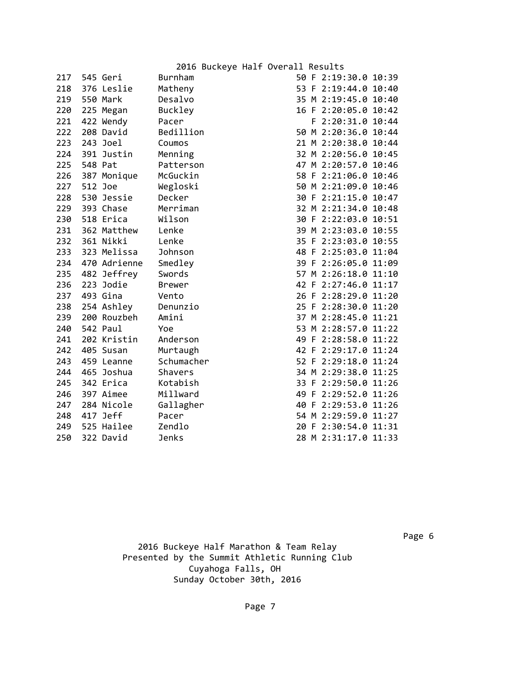|      |  | 2016 Buckeye Half Overall Results |                          |  |
|------|--|-----------------------------------|--------------------------|--|
| nh∍m |  |                                   | $50 F$ $2.19.30 G$ 10.39 |  |

| 217 |         | 545 Geri     | Burnham       |  | 50 F 2:19:30.0 10:39 |  |
|-----|---------|--------------|---------------|--|----------------------|--|
| 218 |         | 376 Leslie   | Matheny       |  | 53 F 2:19:44.0 10:40 |  |
| 219 |         | 550 Mark     | Desalvo       |  | 35 M 2:19:45.0 10:40 |  |
| 220 |         | 225 Megan    | Buckley       |  | 16 F 2:20:05.0 10:42 |  |
| 221 |         | 422 Wendy    | Pacer         |  | F 2:20:31.0 10:44    |  |
| 222 |         | 208 David    | Bedillion     |  | 50 M 2:20:36.0 10:44 |  |
| 223 |         | 243 Joel     | Coumos        |  | 21 M 2:20:38.0 10:44 |  |
| 224 |         | 391 Justin   | Menning       |  | 32 M 2:20:56.0 10:45 |  |
| 225 | 548 Pat |              | Patterson     |  | 47 M 2:20:57.0 10:46 |  |
| 226 |         | 387 Monique  | McGuckin      |  | 58 F 2:21:06.0 10:46 |  |
| 227 |         | 512 Joe      | Wegloski      |  | 50 M 2:21:09.0 10:46 |  |
| 228 |         | 530 Jessie   | Decker        |  | 30 F 2:21:15.0 10:47 |  |
| 229 |         | 393 Chase    | Merriman      |  | 32 M 2:21:34.0 10:48 |  |
| 230 |         | 518 Erica    | Wilson        |  | 30 F 2:22:03.0 10:51 |  |
| 231 |         | 362 Matthew  | Lenke         |  | 39 M 2:23:03.0 10:55 |  |
| 232 |         | 361 Nikki    | Lenke         |  | 35 F 2:23:03.0 10:55 |  |
| 233 |         | 323 Melissa  | Johnson       |  | 48 F 2:25:03.0 11:04 |  |
| 234 |         | 470 Adrienne | Smedley       |  | 39 F 2:26:05.0 11:09 |  |
| 235 |         | 482 Jeffrey  | Swords        |  | 57 M 2:26:18.0 11:10 |  |
| 236 |         | 223 Jodie    | <b>Brewer</b> |  | 42 F 2:27:46.0 11:17 |  |
| 237 |         | 493 Gina     | Vento         |  | 26 F 2:28:29.0 11:20 |  |
| 238 |         | 254 Ashley   | Denunzio      |  | 25 F 2:28:30.0 11:20 |  |
| 239 |         | 200 Rouzbeh  | Amini         |  | 37 M 2:28:45.0 11:21 |  |
| 240 |         | 542 Paul     | Yoe           |  | 53 M 2:28:57.0 11:22 |  |
| 241 |         | 202 Kristin  | Anderson      |  | 49 F 2:28:58.0 11:22 |  |
| 242 |         | 405 Susan    | Murtaugh      |  | 42 F 2:29:17.0 11:24 |  |
| 243 |         | 459 Leanne   | Schumacher    |  | 52 F 2:29:18.0 11:24 |  |
| 244 |         | 465 Joshua   | Shavers       |  | 34 M 2:29:38.0 11:25 |  |
| 245 |         | 342 Erica    | Kotabish      |  | 33 F 2:29:50.0 11:26 |  |
| 246 |         | 397 Aimee    | Millward      |  | 49 F 2:29:52.0 11:26 |  |
| 247 |         | 284 Nicole   | Gallagher     |  | 40 F 2:29:53.0 11:26 |  |
| 248 |         | 417 Jeff     | Pacer         |  | 54 M 2:29:59.0 11:27 |  |
| 249 |         | 525 Hailee   | Zendlo        |  | 20 F 2:30:54.0 11:31 |  |
| 250 |         | 322 David    | <b>Jenks</b>  |  | 28 M 2:31:17.0 11:33 |  |

| 50 | ۲ | 2:19:30.0 | 10:39 |
|----|---|-----------|-------|
| 53 | F | 2:19:44.0 | 10:40 |
| 35 | Μ | 2:19:45.0 | 10:40 |
| 16 | F | 2:20:05.0 | 10:42 |
|    | F | 2:20:31.0 | 10:44 |
| 50 | M | 2:20:36.0 | 10:44 |
| 21 | Μ | 2:20:38.0 | 10:44 |
| 32 | Μ | 2:20:56.0 | 10:45 |
| 47 | М | 2:20:57.0 | 10:46 |
| 58 | F | 2:21:06.0 | 10:46 |
| 50 | М | 2:21:09.0 | 10:46 |
| 30 | F | 2:21:15.0 | 10:47 |
| 32 | M | 2:21:34.0 | 10:48 |
| 30 | F | 2:22:03.0 | 10:51 |
| 39 | Μ | 2:23:03.0 | 10:55 |
| 35 | F | 2:23:03.0 | 10:55 |
| 48 | F | 2:25:03.0 | 11:04 |
| 39 | F | 2:26:05.0 | 11:09 |
| 57 | М | 2:26:18.0 | 11:10 |
| 42 | F | 2:27:46.0 | 11:17 |
| 26 | F | 2:28:29.0 | 11:20 |
| 25 | F | 2:28:30.0 | 11:20 |
| 37 | М | 2:28:45.0 | 11:21 |
| 53 | M | 2:28:57.0 | 11:22 |
| 49 | F | 2:28:58.0 | 11:22 |
| 42 | F | 2:29:17.0 | 11:24 |
| 52 | F | 2:29:18.0 | 11:24 |
| 34 | М | 2:29:38.0 | 11:25 |
| 33 | F | 2:29:50.0 | 11:26 |
| 49 | F | 2:29:52.0 | 11:26 |
| 40 | F | 2:29:53.0 | 11:26 |
| 54 | М | 2:29:59.0 | 11:27 |
| 20 | F | 2:30:54.0 | 11:31 |
| 28 | М | 2:31:17.0 | 11:33 |
|    |   |           |       |

en de la construction de la construction de la construction de la construction de la construction de la constr 2016 Buckeye Half Marathon & Team Relay Presented by the Summit Athletic Running Club Cuyahoga Falls, OH Sunday October 30th, 2016